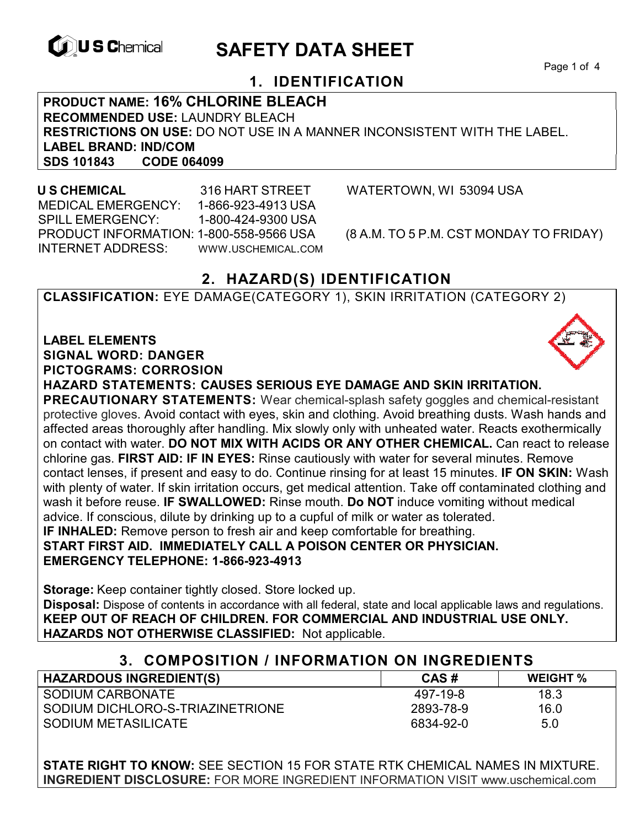

# **EXAGREM** SAFETY DATA SHEET

Page 1 of 4

### **1. IDENTIFICATION**

**PRODUCT NAME: 16% CHLORINE BLEACH RECOMMENDED USE:** LAUNDRY BLEACH **RESTRICTIONS ON USE:** DO NOT USE IN A MANNER INCONSISTENT WITH THE LABEL. **LABEL BRAND: IND/COM SDS 101843** 

 **U S CHEMICAL** 316 HART STREET WATERTOWN, WI 53094 USA MEDICAL EMERGENCY: 1-866-923-4913 USA SPILL EMERGENCY: 1-800-424-9300 USA PRODUCT INFORMATION: 1-800-558-9566 USA (8 A.M. TO 5 P.M. CST MONDAY TO FRIDAY) INTERNET ADDRESS: WWW.USCHEMICAL.COM

## **2. HAZARD(S) IDENTIFICATION**

**CLASSIFICATION:** EYE DAMAGE(CATEGORY 1), SKIN IRRITATION (CATEGORY 2)

**LABEL ELEMENTS SIGNAL WORD: DANGER PICTOGRAMS: CORROSION**

**HAZARD STATEMENTS: CAUSES SERIOUS EYE DAMAGE AND SKIN IRRITATION.** 

**PRECAUTIONARY STATEMENTS:** Wear chemical-splash safety goggles and chemical-resistant protective gloves. Avoid contact with eyes, skin and clothing. Avoid breathing dusts. Wash hands and affected areas thoroughly after handling. Mix slowly only with unheated water. Reacts exothermically on contact with water. **DO NOT MIX WITH ACIDS OR ANY OTHER CHEMICAL.** Can react to release chlorine gas. **FIRST AID: IF IN EYES:** Rinse cautiously with water for several minutes. Remove contact lenses, if present and easy to do. Continue rinsing for at least 15 minutes. **IF ON SKIN:** Wash with plenty of water. If skin irritation occurs, get medical attention. Take off contaminated clothing and wash it before reuse. **IF SWALLOWED:** Rinse mouth. **Do NOT** induce vomiting without medical advice. If conscious, dilute by drinking up to a cupful of milk or water as tolerated. **IF INHALED:** Remove person to fresh air and keep comfortable for breathing. **START FIRST AID. IMMEDIATELY CALL A POISON CENTER OR PHYSICIAN.** 

**EMERGENCY TELEPHONE: 1-866-923-4913**

**Storage:** Keep container tightly closed. Store locked up. **Disposal:** Dispose of contents in accordance with all federal, state and local applicable laws and regulations. **KEEP OUT OF REACH OF CHILDREN. FOR COMMERCIAL AND INDUSTRIAL USE ONLY. HAZARDS NOT OTHERWISE CLASSIFIED:** Not applicable.

| 3. COMPOSITION / INFORMATION ON INGREDIENTS |           |                 |
|---------------------------------------------|-----------|-----------------|
| <b>HAZARDOUS INGREDIENT(S)</b>              | CAS#      | <b>WEIGHT</b> % |
| SODIUM CARBONATE                            | 497-19-8  | 18.3            |
| SODIUM DICHLORO-S-TRIAZINETRIONE            | 2893-78-9 | 16.0            |
| SODIUM METASILICATE                         | 6834-92-0 | 5.0             |

**STATE RIGHT TO KNOW:** SEE SECTION 15 FOR STATE RTK CHEMICAL NAMES IN MIXTURE. **INGREDIENT DISCLOSURE:** FOR MORE INGREDIENT INFORMATION VISIT www.uschemical.com

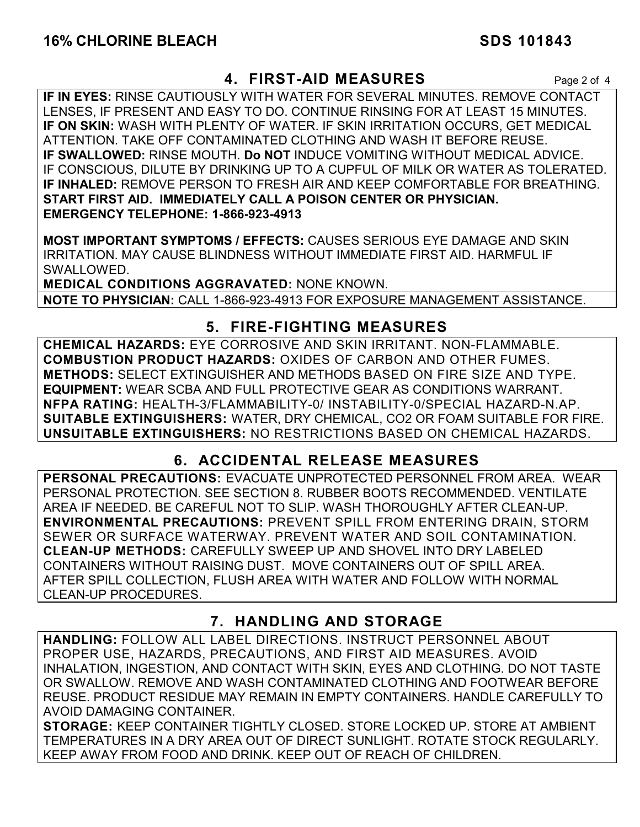#### **4. FIRST-AID MEASURES** Page 2 of 4

**IF IN EYES:** RINSE CAUTIOUSLY WITH WATER FOR SEVERAL MINUTES. REMOVE CONTACT LENSES, IF PRESENT AND EASY TO DO. CONTINUE RINSING FOR AT LEAST 15 MINUTES. **IF ON SKIN:** WASH WITH PLENTY OF WATER. IF SKIN IRRITATION OCCURS, GET MEDICAL ATTENTION. TAKE OFF CONTAMINATED CLOTHING AND WASH IT BEFORE REUSE. **IF SWALLOWED:** RINSE MOUTH. **Do NOT** INDUCE VOMITING WITHOUT MEDICAL ADVICE. IF CONSCIOUS, DILUTE BY DRINKING UP TO A CUPFUL OF MILK OR WATER AS TOLERATED. **IF INHALED:** REMOVE PERSON TO FRESH AIR AND KEEP COMFORTABLE FOR BREATHING. **START FIRST AID. IMMEDIATELY CALL A POISON CENTER OR PHYSICIAN. EMERGENCY TELEPHONE: 1-866-923-4913**

**MOST IMPORTANT SYMPTOMS / EFFECTS:** CAUSES SERIOUS EYE DAMAGE AND SKIN IRRITATION. MAY CAUSE BLINDNESS WITHOUT IMMEDIATE FIRST AID. HARMFUL IF SWALLOWED.

**MEDICAL CONDITIONS AGGRAVATED:** NONE KNOWN. **NOTE TO PHYSICIAN:** CALL 1-866-923-4913 FOR EXPOSURE MANAGEMENT ASSISTANCE.

### **5. FIRE-FIGHTING MEASURES**

**CHEMICAL HAZARDS:** EYE CORROSIVE AND SKIN IRRITANT. NON-FLAMMABLE. **COMBUSTION PRODUCT HAZARDS:** OXIDES OF CARBON AND OTHER FUMES. **METHODS:** SELECT EXTINGUISHER AND METHODS BASED ON FIRE SIZE AND TYPE. **EQUIPMENT:** WEAR SCBA AND FULL PROTECTIVE GEAR AS CONDITIONS WARRANT. **NFPA RATING:** HEALTH-3/FLAMMABILITY-0/ INSTABILITY-0/SPECIAL HAZARD-N.AP. **SUITABLE EXTINGUISHERS:** WATER, DRY CHEMICAL, CO2 OR FOAM SUITABLE FOR FIRE. **UNSUITABLE EXTINGUISHERS:** NO RESTRICTIONS BASED ON CHEMICAL HAZARDS.

## **6. ACCIDENTAL RELEASE MEASURES**

**PERSONAL PRECAUTIONS:** EVACUATE UNPROTECTED PERSONNEL FROM AREA. WEAR PERSONAL PROTECTION. SEE SECTION 8. RUBBER BOOTS RECOMMENDED. VENTILATE AREA IF NEEDED. BE CAREFUL NOT TO SLIP. WASH THOROUGHLY AFTER CLEAN-UP. **ENVIRONMENTAL PRECAUTIONS:** PREVENT SPILL FROM ENTERING DRAIN, STORM SEWER OR SURFACE WATERWAY. PREVENT WATER AND SOIL CONTAMINATION. **CLEAN-UP METHODS:** CAREFULLY SWEEP UP AND SHOVEL INTO DRY LABELED CONTAINERS WITHOUT RAISING DUST. MOVE CONTAINERS OUT OF SPILL AREA. AFTER SPILL COLLECTION, FLUSH AREA WITH WATER AND FOLLOW WITH NORMAL CLEAN-UP PROCEDURES.

## **7. HANDLING AND STORAGE**

**HANDLING:** FOLLOW ALL LABEL DIRECTIONS. INSTRUCT PERSONNEL ABOUT PROPER USE, HAZARDS, PRECAUTIONS, AND FIRST AID MEASURES. AVOID INHALATION, INGESTION, AND CONTACT WITH SKIN, EYES AND CLOTHING. DO NOT TASTE OR SWALLOW. REMOVE AND WASH CONTAMINATED CLOTHING AND FOOTWEAR BEFORE REUSE. PRODUCT RESIDUE MAY REMAIN IN EMPTY CONTAINERS. HANDLE CAREFULLY TO AVOID DAMAGING CONTAINER.

**STORAGE:** KEEP CONTAINER TIGHTLY CLOSED. STORE LOCKED UP. STORE AT AMBIENT TEMPERATURES IN A DRY AREA OUT OF DIRECT SUNLIGHT. ROTATE STOCK REGULARLY. KEEP AWAY FROM FOOD AND DRINK. KEEP OUT OF REACH OF CHILDREN.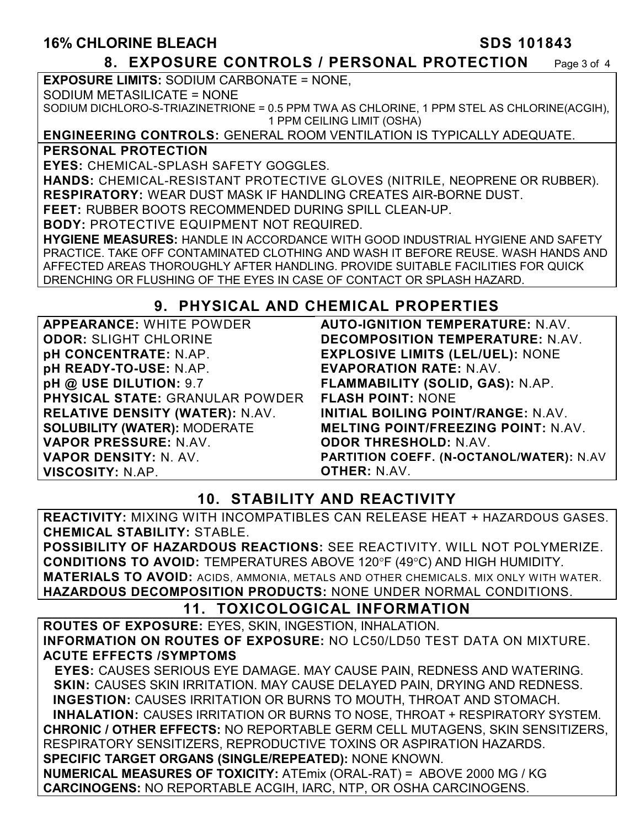#### **16% CHLORINE BLEACH SDS 101843**

#### **8. EXPOSURE CONTROLS / PERSONAL PROTECTION** Page 3 of 4

**EXPOSURE LIMITS:** SODIUM CARBONATE = NONE,

SODIUM METASILICATE = NONE

SODIUM DICHLORO-S-TRIAZINETRIONE = 0.5 PPM TWA AS CHLORINE, 1 PPM STEL AS CHLORINE(ACGIH), 1 PPM CEILING LIMIT (OSHA)

#### **ENGINEERING CONTROLS:** GENERAL ROOM VENTILATION IS TYPICALLY ADEQUATE.

**PERSONAL PROTECTION** 

**EYES:** CHEMICAL-SPLASH SAFETY GOGGLES.

**HANDS:** CHEMICAL-RESISTANT PROTECTIVE GLOVES (NITRILE, NEOPRENE OR RUBBER). **RESPIRATORY:** WEAR DUST MASK IF HANDLING CREATES AIR-BORNE DUST.

**FEET:** RUBBER BOOTS RECOMMENDED DURING SPILL CLEAN-UP.

**BODY:** PROTECTIVE EQUIPMENT NOT REQUIRED.

**HYGIENE MEASURES:** HANDLE IN ACCORDANCE WITH GOOD INDUSTRIAL HYGIENE AND SAFETY PRACTICE. TAKE OFF CONTAMINATED CLOTHING AND WASH IT BEFORE REUSE. WASH HANDS AND AFFECTED AREAS THOROUGHLY AFTER HANDLING. PROVIDE SUITABLE FACILITIES FOR QUICK DRENCHING OR FLUSHING OF THE EYES IN CASE OF CONTACT OR SPLASH HAZARD.

### **9. PHYSICAL AND CHEMICAL PROPERTIES**

**APPEARANCE:** WHITE POWDER **ODOR:** SLIGHT CHLORINE **pH CONCENTRATE:** N.AP. **pH READY-TO-USE:** N.AP. **pH @ USE DILUTION:** 9.7 **PHYSICAL STATE:** GRANULAR POWDER **RELATIVE DENSITY (WATER):** N.AV. **SOLUBILITY (WATER):** MODERATE **VAPOR PRESSURE:** N.AV. **VAPOR DENSITY:** N. AV. **VISCOSITY:** N.AP.

**AUTO-IGNITION TEMPERATURE:** N.AV. **DECOMPOSITION TEMPERATURE:** N.AV. **EXPLOSIVE LIMITS (LEL/UEL):** NONE **EVAPORATION RATE:** N.AV. **FLAMMABILITY (SOLID, GAS):** N.AP. **FLASH POINT:** NONE **INITIAL BOILING POINT/RANGE:** N.AV. **MELTING POINT/FREEZING POINT:** N.AV. **ODOR THRESHOLD:** N.AV. **PARTITION COEFF. (N-OCTANOL/WATER):** N.AV **OTHER:** N.AV.

## **10. STABILITY AND REACTIVITY**

**REACTIVITY:** MIXING WITH INCOMPATIBLES CAN RELEASE HEAT + HAZARDOUS GASES. **CHEMICAL STABILITY:** STABLE.

**POSSIBILITY OF HAZARDOUS REACTIONS:** SEE REACTIVITY. WILL NOT POLYMERIZE. **CONDITIONS TO AVOID:** TEMPERATURES ABOVE 120°F (49°C) AND HIGH HUMIDITY. **MATERIALS TO AVOID:** ACIDS, AMMONIA, METALS AND OTHER CHEMICALS. MIX ONLY WITH WATER. **HAZARDOUS DECOMPOSITION PRODUCTS:** NONE UNDER NORMAL CONDITIONS.

### **11. TOXICOLOGICAL INFORMATION**

**ROUTES OF EXPOSURE:** EYES, SKIN, INGESTION, INHALATION. **INFORMATION ON ROUTES OF EXPOSURE:** NO LC50/LD50 TEST DATA ON MIXTURE. **ACUTE EFFECTS /SYMPTOMS**

 **EYES:** CAUSES SERIOUS EYE DAMAGE. MAY CAUSE PAIN, REDNESS AND WATERING. **SKIN:** CAUSES SKIN IRRITATION. MAY CAUSE DELAYED PAIN, DRYING AND REDNESS. **INGESTION:** CAUSES IRRITATION OR BURNS TO MOUTH, THROAT AND STOMACH. **INHALATION:** CAUSES IRRITATION OR BURNS TO NOSE, THROAT + RESPIRATORY SYSTEM. **CHRONIC / OTHER EFFECTS:** NO REPORTABLE GERM CELL MUTAGENS, SKIN SENSITIZERS, RESPIRATORY SENSITIZERS, REPRODUCTIVE TOXINS OR ASPIRATION HAZARDS. **SPECIFIC TARGET ORGANS (SINGLE/REPEATED):** NONE KNOWN. **NUMERICAL MEASURES OF TOXICITY:** ATEmix (ORAL-RAT) = ABOVE 2000 MG / KG **CARCINOGENS:** NO REPORTABLE ACGIH, IARC, NTP, OR OSHA CARCINOGENS.